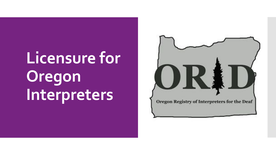# **Licensure for Oregon Interpreters**

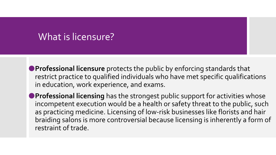## What is licensure?

- ⚫**Professional licensure** protects the public by enforcing standards that restrict practice to qualified individuals who have met specific qualifications in education, work experience, and exams.
- ⚫**Professional licensing** has the strongest public support for activities whose incompetent execution would be a health or safety threat to the public, such as practicing medicine. Licensing of low-risk businesses like florists and hair braiding salons is more controversial because licensing is inherently a form of restraint of trade.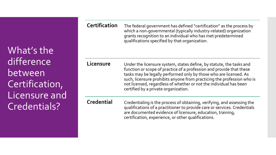What's the difference between Certification, Licensure and Credentials?

**Certification** The federal government has defined "certification" as the process by which a non-governmental (typically industry-related) organization grants recognition to an individual who has met predetermined qualifications specified by that organization.

**Licensure** Under the licensure system, states define, by statute, the tasks and function or scope of practice of a profession and provide that these tasks may be legally performed only by those who are licensed. As such, licensure prohibits anyone from practicing the profession who is not licensed, regardless of whether or not the individual has been certified by a private organization.

**Credential** Credentialing is the process of obtaining, verifying, and assessing the qualifications of a practitioner to provide care or services. Credentials are documented evidence of licensure, education, training, certification, experience, or other qualifications.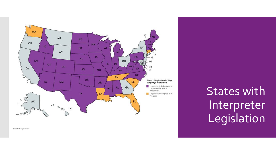

States with Interpreter Legislation

Created with mapchart.net @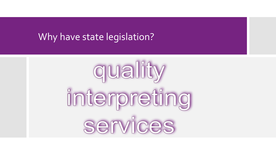#### Why have state legislation?

quality interpreting services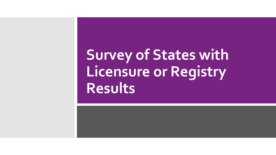## **Survey of States with Licensure or Registry Results**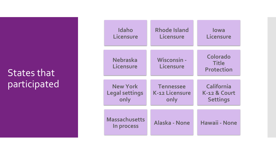## States that participated

| <b>Idaho</b>                       | <b>Rhode Island</b>             | lowa                                                 |
|------------------------------------|---------------------------------|------------------------------------------------------|
| Licensure                          | Licensure                       | Licensure                                            |
| <b>Nebraska</b><br>Licensure       | <b>Wisconsin -</b><br>Licensure | <b>Colorado</b><br><b>Title</b><br><b>Protection</b> |
| <b>New York</b>                    | <b>Tennessee</b>                | <b>California</b>                                    |
| <b>Legal settings</b>              | K-12 Licensure                  | K-12 & Court                                         |
| only                               | only                            | <b>Settings</b>                                      |
| <b>Massachusetts</b><br>In process | Alaska - None                   | Hawaii - None                                        |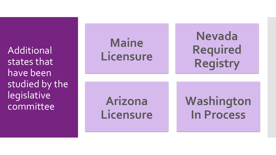Additional states that have been studied by the legislative committee

**Maine Licensure**

**Nevada Required Registry**

**Arizona Licensure** **Washington In Process**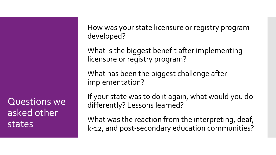Questions we asked other states

How was your state licensure or registry program developed?

What is the biggest benefit after implementing licensure or registry program?

What has been the biggest challenge after implementation?

If your state was to do it again, what would you do differently? Lessons learned?

What was the reaction from the interpreting, deaf, k-12, and post-secondary education communities?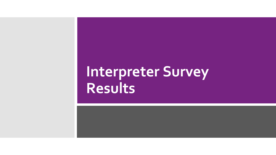## **Interpreter Survey Results**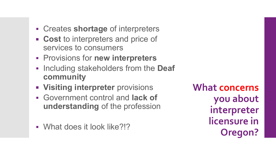- Creates **shortage** of interpreters
- **EXCOST** to interpreters and price of services to consumers
- Provisions for **new interpreters**
- Including stakeholders from the **Deaf community**
- **Visiting interpreter** provisions
- Government control and **lack of understanding** of the profession

▪ What does it look like?!?

**What concerns you about interpreter licensure in Oregon?**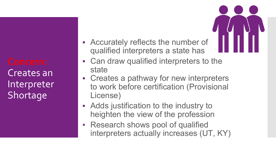Creates an Interpreter Shortage

- **EXECUTER 19 Accurately reflects the number of** qualified interpreters a state has
- Can draw qualified interpreters to the state
- Creates a pathway for new interpreters to work before certification (Provisional License)
- Adds justification to the industry to heighten the view of the profession
- **Research shows pool of qualified** interpreters actually increases (UT, KY)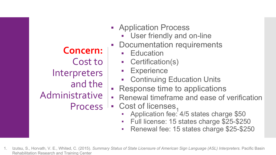**Concern:** Cost to **Interpreters** and the Administrative **Process** 

- Application Process
	- **User friendly and on-line**
- Documentation requirements
	- **Education**
	- Certification(s)
	- **Experience**
	- Continuing Education Units
- Response time to applications
- **EXEL EXEL EXEL THE RENEW PROBET PETERS PERITE PROPERTY**
- $\bullet$  Cost of licenses,
	- Application fee: 4/5 states charge \$50
	- Full license: 15 states charge \$25-\$250
	- Renewal fee: 15 states charge \$25-\$250
- 1. Izutsu, S., Horvath, V. E., Whited, C. (2015). *Summary Status of State Licensure of American Sign Language (ASL) Interpreters.* Pacific Basin Rehabilitation Research and Training Center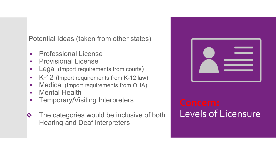Potential Ideas (taken from other states)

- **Professional License**
- **Provisional License**
- **•** Legal (Import requirements from courts)
- K-12 (Import requirements from K-12 law)
- **■** Medical (Import requirements from OHA)
- **Mental Health**
- **Temporary/Visiting Interpreters**
- ❖ The categories would be inclusive of both Hearing and Deaf interpreters



# Levels of Licensure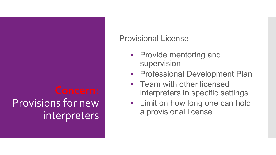# Provisions for new interpreters

#### Provisional License

- **Provide mentoring and** supervision
- **Professional Development Plan**
- **Team with other licensed** interpreters in specific settings
- **Example 1** Limit on how long one can hold a provisional license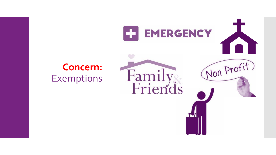

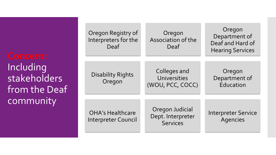**Including** stakeholders from the Deaf community

| Oregon Registry of<br>Interpreters for the<br>Deaf    | Oregon<br>Association of the<br>Deaf                    | Oregon<br>Department of<br>Deaf and Hard of<br><b>Hearing Services</b> |
|-------------------------------------------------------|---------------------------------------------------------|------------------------------------------------------------------------|
| <b>Disability Rights</b><br>Oregon                    | Colleges and<br>Universities<br>(WOU, PCC, COCC)        | Oregon<br>Department of<br>Education                                   |
| <b>OHA's Healthcare</b><br><b>Interpreter Council</b> | Oregon Judicial<br>Dept. Interpreter<br><b>Services</b> | <b>Interpreter Service</b><br><b>Agencies</b>                          |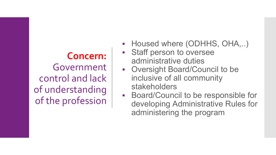## **Concern:** Government control and lack of understanding of the profession

- **Housed where (ODHHS, OHA,..)**
- Staff person to oversee administrative duties
- Oversight Board/Council to be inclusive of all community stakeholders
- Board/Council to be responsible for developing Administrative Rules for administering the program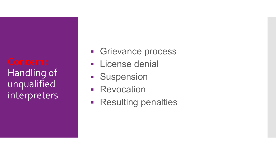## Handling of unqualified interpreters

- **Exercise Series Versus**
- **Elicense denial**
- **E** Suspension
- **Revocation**
- **Resulting penalties**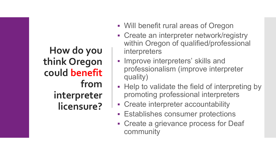**How do you think Oregon could benefit from interpreter licensure?**

- Will benefit rural areas of Oregon
- **EXECTE 2018 Interpreter network/registry** within Oregon of qualified/professional interpreters
- **.** Improve interpreters' skills and professionalism (improve interpreter quality)
- Help to validate the field of interpreting by promoting professional interpreters
- **EXECTE:** Create interpreter accountability
- **Establishes consumer protections**
- **Exercise a grievance process for Deaf** community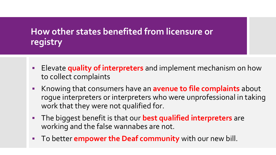### **How other states benefited from licensure or registry**

- Elevate **quality of interpreters** and implement mechanism on how to collect complaints
- Knowing that consumers have an **avenue to file complaints** about rogue interpreters or interpreters who were unprofessional in taking work that they were not qualified for.
- The biggest benefit is that our **best qualified interpreters** are working and the false wannabes are not.
- To better **empower the Deaf community** with our new bill.